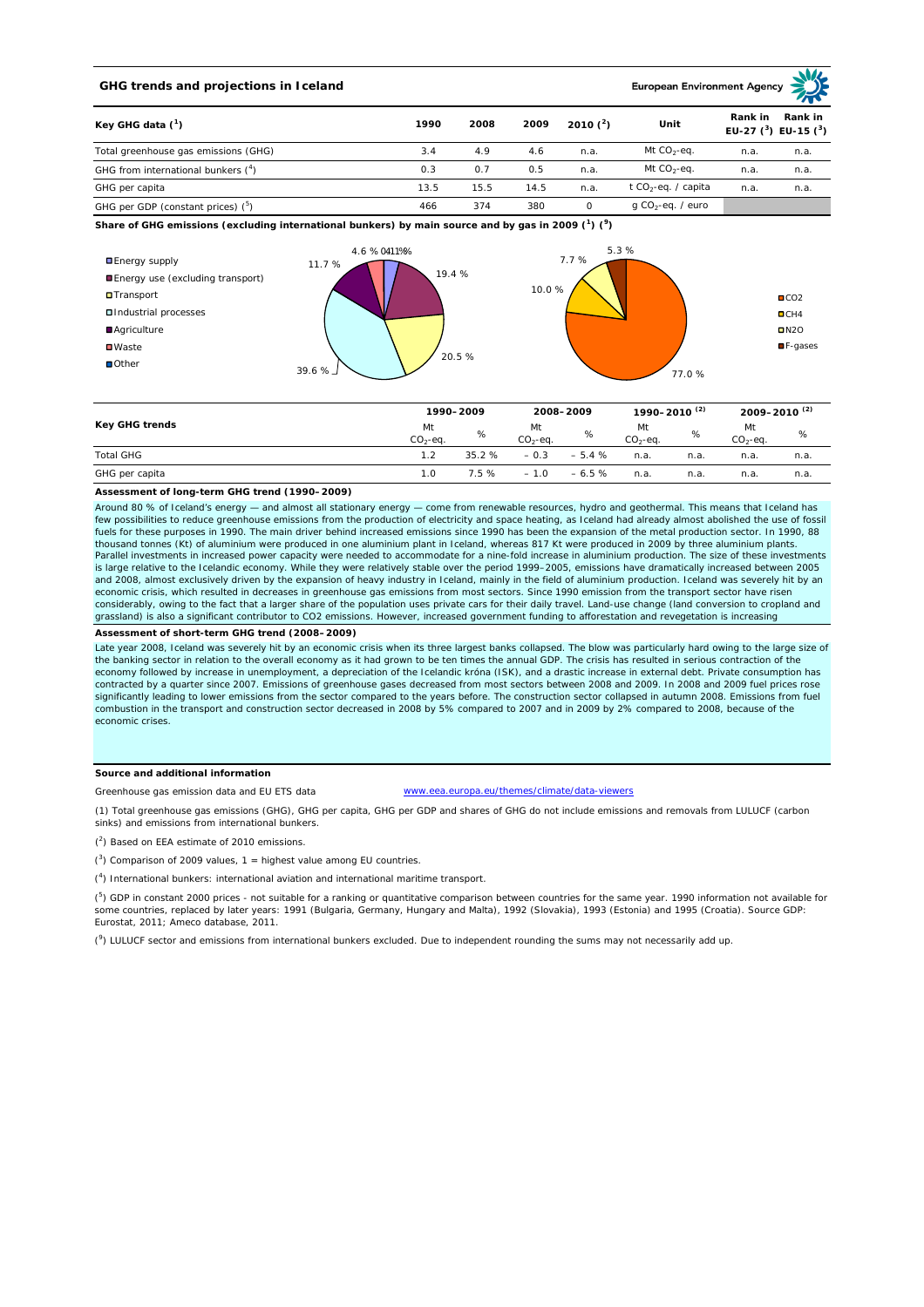## **GHG trends and projections in Iceland**

**European Environment Age** 

|                                                             |      |      |      |            | $\sim$ $\sim$                   |                                                 |      |
|-------------------------------------------------------------|------|------|------|------------|---------------------------------|-------------------------------------------------|------|
| Key GHG data $(^1)$<br>Total greenhouse gas emissions (GHG) | 1990 | 2008 | 2009 | 2010 $(2)$ | Unit                            | Rank in<br>Rank in<br>EU-27 $(^3)$ EU-15 $(^3)$ |      |
|                                                             | 3.4  | 4.9  | 4.6  | n.a.       | Mt $CO2$ -eq.                   | n.a.                                            | n.a. |
| GHG from international bunkers (4)                          | 0.3  | 0.7  | 0.5  | n.a.       | Mt $CO_2$ -eq.                  | n.a.                                            | n.a. |
| GHG per capita                                              | 13.5 | 15.5 | 14.5 | n.a.       | t CO <sub>2</sub> -eq. / capita | n.a.                                            | n.a. |
| GHG per GDP (constant prices) $(^5)$                        | 466  | 374  | 380  |            | g CO <sub>2</sub> -eq. / euro   |                                                 |      |

**Share of GHG emissions (excluding international bunkers) by main source and by gas in 2009 (<sup>1</sup> ) (<sup>9</sup> )**



|                  | 1990-2009       |       | 2008-2009       |         | 1990-2010 <sup>(2)</sup> |      | 2009-2010 <sup>(2)</sup> |      |
|------------------|-----------------|-------|-----------------|---------|--------------------------|------|--------------------------|------|
| Key GHG trends   | Mt<br>$CO2-eq.$ | %     | Mt<br>$CO2-eq.$ | %       | Mt<br>$CO2-ea$ .         | %    | Mt<br>$CO2-ea.$          | %    |
| <b>Total GHG</b> | 1.2             | 35.2% | $-0.3$          | $-5.4%$ | n.a.                     | n.a. | n.a.                     | n.a. |
| GHG per capita   | 1.0             | 7.5 % | $-1.0$          | $-6.5%$ | n.a.                     | n.a. | n.a.                     | n.a. |

## **Assessment of long-term GHG trend (1990–2009)**

Around 80 % of Iceland's energy — and almost all stationary energy — come from renewable resources, hydro and geothermal. This means that Iceland has<br>few possibilities to reduce greenhouse emissions from the production of fuels for these purposes in 1990. The main driver behind increased emissions since 1990 has been the expansion of the metal production sector. In 1990, 88 thousand tonnes (Kt) of aluminium were produced in one aluminium plant in Iceland, whereas 817 Kt were produced in 2009 by three aluminium plants. Parallel investments in increased power capacity were needed to accommodate for a nine-fold increase in aluminium production. The size of these investments is large relative to the Icelandic economy. While they were relatively stable over the period 1999–2005, emissions have dramatically increased between 2005<br>and 2008, almost exclusively driven by the expansion of heavy indu economic crisis, which resulted in decreases in greenhouse gas emissions from most sectors. Since 1990 emission from the transport sector have risen considerably, owing to the fact that a larger share of the population uses private cars for their daily travel. Land-use change (land conversion to cropland and grassland) is also a significant contributor to CO2 emissions. However, increased government funding to afforestation and revegetation is increasing

**Assessment of short-term GHG trend (2008–2009)**

Late year 2008, Iceland was severely hit by an economic crisis when its three largest banks collapsed. The blow was particularly hard owing to the large size of the banking sector in relation to the overall economy as it had grown to be ten times the annual GDP. The crisis has resulted in serious contraction of the economy followed by increase in unemployment, a depreciation of the Icelandic króna (ISK), and a drastic increase in external debt. Private consumption has<br>contracted by a quarter since 2007. Emissions of greenhouse gases significantly leading to lower emissions from the sector compared to the years before. The construction sector collapsed in autumn 2008. Emissions from fuel combustion in the transport and construction sector decreased in 2008 by 5% compared to 2007 and in 2009 by 2% compared to 2008, because of the economic crises.

#### **Source and additional information**

Greenhouse gas emission data and EU ETS data

eu/themes/climate/data-viewers

(1) Total greenhouse gas emissions (GHG), GHG per capita, GHG per GDP and shares of GHG do not include emissions and removals from LULUCF (carbon sinks) and emissions from international bunkers.

( 2 ) Based on EEA estimate of 2010 emissions.

 $(3)$  Comparison of 2009 values, 1 = highest value among EU countries.

( 4 ) International bunkers: international aviation and international maritime transport.

 $(^5)$  GDP in constant 2000 prices - not suitable for a ranking or quantitative comparison between countries for the same year. 1990 information not available for some countries, replaced by later years: 1991 (Bulgaria, Germany, Hungary and Malta), 1992 (Slovakia), 1993 (Estonia) and 1995 (Croatia). Source GDP: Eurostat, 2011; Ameco database, 2011.

(<sup>9</sup>) LULUCF sector and emissions from international bunkers excluded. Due to independent rounding the sums may not necessarily add up.